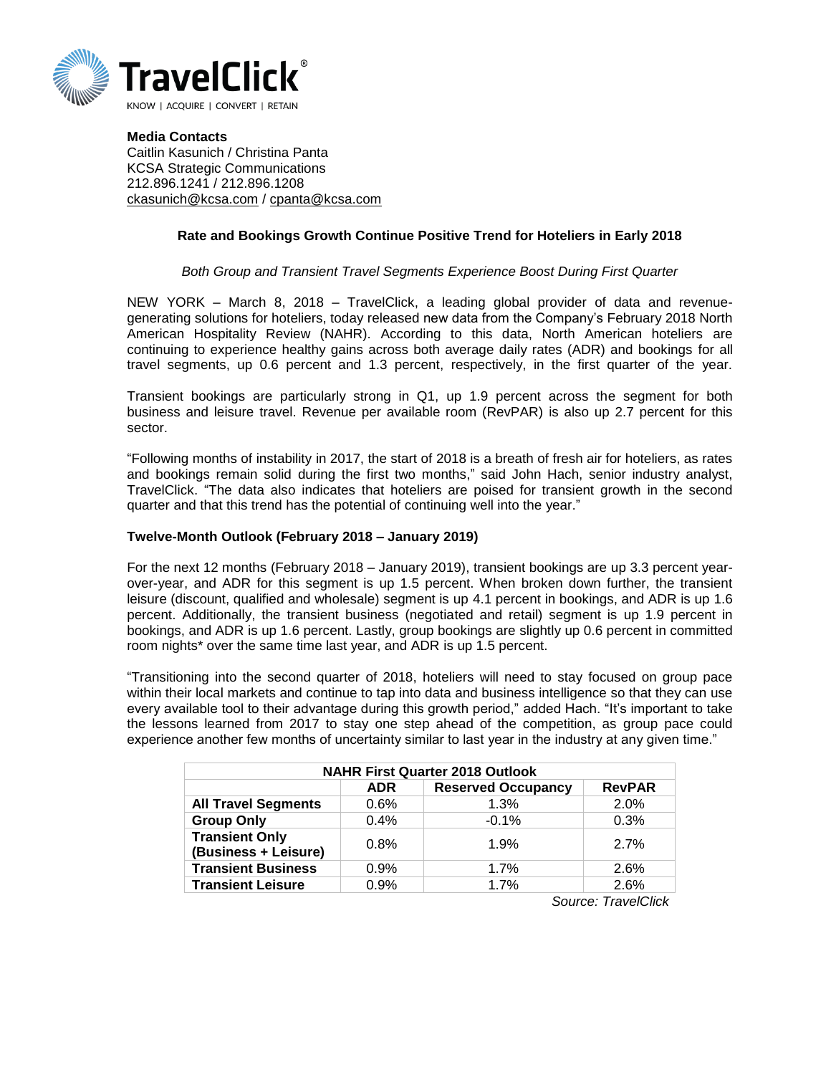

**Media Contacts** Caitlin Kasunich / Christina Panta KCSA Strategic Communications 212.896.1241 / 212.896.1208 [ckasunich@kcsa.com](mailto:ckasunich@kcsa.com) / [cpanta@kcsa.com](mailto:cpanta@kcsa.com)

## **Rate and Bookings Growth Continue Positive Trend for Hoteliers in Early 2018**

## *Both Group and Transient Travel Segments Experience Boost During First Quarter*

NEW YORK – March 8, 2018 – TravelClick, a leading global provider of data and revenuegenerating solutions for hoteliers, today released new data from the Company's February 2018 North American Hospitality Review (NAHR). According to this data, North American hoteliers are continuing to experience healthy gains across both average daily rates (ADR) and bookings for all travel segments, up 0.6 percent and 1.3 percent, respectively, in the first quarter of the year.

Transient bookings are particularly strong in Q1, up 1.9 percent across the segment for both business and leisure travel. Revenue per available room (RevPAR) is also up 2.7 percent for this sector.

"Following months of instability in 2017, the start of 2018 is a breath of fresh air for hoteliers, as rates and bookings remain solid during the first two months," said John Hach, senior industry analyst, TravelClick. "The data also indicates that hoteliers are poised for transient growth in the second quarter and that this trend has the potential of continuing well into the year."

## **Twelve-Month Outlook (February 2018 – January 2019)**

For the next 12 months (February 2018 – January 2019), transient bookings are up 3.3 percent yearover-year, and ADR for this segment is up 1.5 percent. When broken down further, the transient leisure (discount, qualified and wholesale) segment is up 4.1 percent in bookings, and ADR is up 1.6 percent. Additionally, the transient business (negotiated and retail) segment is up 1.9 percent in bookings, and ADR is up 1.6 percent. Lastly, group bookings are slightly up 0.6 percent in committed room nights\* over the same time last year, and ADR is up 1.5 percent.

"Transitioning into the second quarter of 2018, hoteliers will need to stay focused on group pace within their local markets and continue to tap into data and business intelligence so that they can use every available tool to their advantage during this growth period," added Hach. "It's important to take the lessons learned from 2017 to stay one step ahead of the competition, as group pace could experience another few months of uncertainty similar to last year in the industry at any given time."

| <b>NAHR First Quarter 2018 Outlook</b>        |            |                           |               |
|-----------------------------------------------|------------|---------------------------|---------------|
|                                               | <b>ADR</b> | <b>Reserved Occupancy</b> | <b>RevPAR</b> |
| <b>All Travel Segments</b>                    | 0.6%       | 1.3%                      | 2.0%          |
| <b>Group Only</b>                             | 0.4%       | $-0.1%$                   | 0.3%          |
| <b>Transient Only</b><br>(Business + Leisure) | 0.8%       | 1.9%                      | 2.7%          |
| <b>Transient Business</b>                     | 0.9%       | 1.7%                      | 2.6%          |
| <b>Transient Leisure</b>                      | 0.9%       | 1.7%                      | 2.6%          |
| Carmon Traine Oliele                          |            |                           |               |

 *Source: TravelClick*